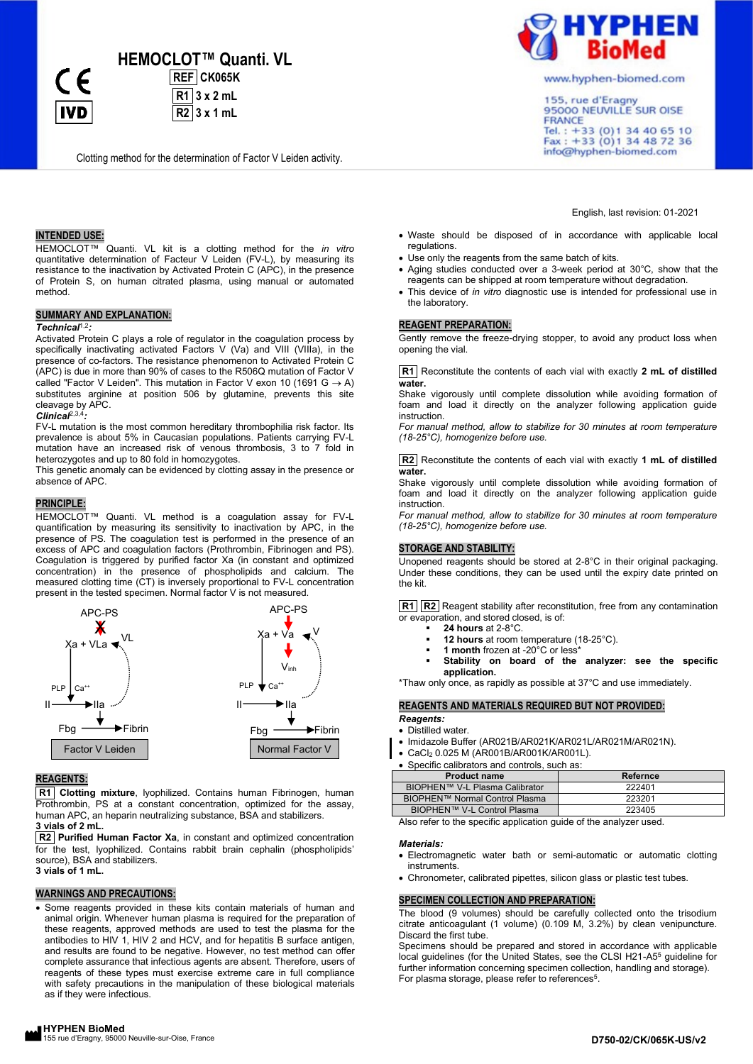**HEMOCLOT™ Quanti. VL** 

**REF CK065K R1 3 x 2 mL R2 3 x 1 mL**

Clotting method for the determination of Factor V Leiden activity.

# **INTENDED USE:**

**IVD** 

HEMOCLOT™ Quanti. VL kit is a clotting method for the *in vitro* quantitative determination of Facteur V Leiden (FV-L), by measuring its resistance to the inactivation by Activated Protein C (APC), in the presence of Protein S, on human citrated plasma, using manual or automated method.

## **SUMMARY AND EXPLANATION:**

#### *Technical*1,2*:*

Activated Protein C plays a role of regulator in the coagulation process by specifically inactivating activated Factors V (Va) and VIII (VIIIa), in the presence of co-factors. The resistance phenomenon to Activated Protein C (APC) is due in more than 90% of cases to the R506Q mutation of Factor V called "Factor V Leiden". This mutation in Factor V exon 10 (1691  $G \rightarrow A$ ) substitutes arginine at position 506 by glutamine, prevents this site cleavage by APC.

*Clinical*2,3,4*:* FV-L mutation is the most common hereditary thrombophilia risk factor. Its prevalence is about 5% in Caucasian populations. Patients carrying FV-L

mutation have an increased risk of venous thrombosis, 3 to 7 fold in heterozygotes and up to 80 fold in homozygotes.

This genetic anomaly can be evidenced by clotting assay in the presence or absence of APC.

#### **PRINCIPLE:**

HEMOCLOT™ Quanti. VL method is a coagulation assay for FV-L quantification by measuring its sensitivity to inactivation by APC, in the presence of PS. The coagulation test is performed in the presence of an excess of APC and coagulation factors (Prothrombin, Fibrinogen and PS). Coagulation is triggered by purified factor Xa (in constant and optimized concentration) in the presence of phospholipids and calcium. The measured clotting time (CT) is inversely proportional to FV-L concentration present in the tested specimen. Normal factor V is not measured.



# **REAGENTS:**

**R1 Clotting mixture**, lyophilized. Contains human Fibrinogen, human Prothrombin, PS at a constant concentration, optimized for the assay, human APC, an heparin neutralizing substance, BSA and stabilizers. **3 vials of 2 mL.**

**R2 Purified Human Factor Xa**, in constant and optimized concentration for the test, lyophilized. Contains rabbit brain cephalin (phospholipids' source), BSA and stabilizers. **3 vials of 1 mL.**

### **WARNINGS AND PRECAUTIONS:**

• Some reagents provided in these kits contain materials of human and animal origin. Whenever human plasma is required for the preparation of these reagents, approved methods are used to test the plasma for the antibodies to HIV 1, HIV 2 and HCV, and for hepatitis B surface antigen, and results are found to be negative. However, no test method can offer complete assurance that infectious agents are absent. Therefore, users of reagents of these types must exercise extreme care in full compliance with safety precautions in the manipulation of these biological materials as if they were infectious.



www.hyphen-biomed.com

155, rue d'Eragny 95000 NEUVILLE SUR OISE FRANCE Tel.: +33 (0) 1 34 40 65 10<br>Fax: +33 (0) 1 34 48 72 36 info@hyphen-biomed.com

#### English, last revision: 01-2021

- Waste should be disposed of in accordance with applicable local regulations.
- Use only the reagents from the same batch of kits.
- Aging studies conducted over a 3-week period at 30°C, show that the reagents can be shipped at room temperature without degradation.
- This device of *in vitro* diagnostic use is intended for professional use in the laboratory.

## **REAGENT PREPARATION:**

Gently remove the freeze-drying stopper, to avoid any product loss when opening the vial.

**R1** Reconstitute the contents of each vial with exactly **2 mL of distilled water.**

Shake vigorously until complete dissolution while avoiding formation of foam and load it directly on the analyzer following application guide instruction.

*For manual method, allow to stabilize for 30 minutes at room temperature (18-25°C), homogenize before use.*

**R2** Reconstitute the contents of each vial with exactly **1 mL of distilled water.**

Shake vigorously until complete dissolution while avoiding formation of foam and load it directly on the analyzer following application guide instruction.

*For manual method, allow to stabilize for 30 minutes at room temperature (18-25°C), homogenize before use.*

#### **STORAGE AND STABILITY:**

Unopened reagents should be stored at 2-8°C in their original packaging. Under these conditions, they can be used until the expiry date printed on the kit.

**R1 R2** Reagent stability after reconstitution, free from any contamination or evaporation, and stored closed, is of:

- **24 hours** at 2-8°C.
	- 12 hours at room temperature (18-25°C).
	- 1 month frozen at -20°C or less<sup>\*</sup>
- Stability on board of the analyzer: see the specific **application.**

\*Thaw only once, as rapidly as possible at 37°C and use immediately.

# **REAGENTS AND MATERIALS REQUIRED BUT NOT PROVIDED:**

#### *Reagents:*

• Distilled water.

- Imidazole Buffer (AR021B/AR021K/AR021L/AR021M/AR021N).
- CaCl<sup>2</sup> 0.025 M (AR001B/AR001K/AR001L).
- Specific calibrators and controls, such as:

| <b>Product name</b>                                              | Refernce |  |  |  |  |
|------------------------------------------------------------------|----------|--|--|--|--|
| BIOPHEN™ V-L Plasma Calibrator                                   | 222401   |  |  |  |  |
| BIOPHEN™ Normal Control Plasma                                   | 223201   |  |  |  |  |
| BIOPHEN™ V-L Control Plasma                                      | 223405   |  |  |  |  |
| Alaa xafax ta tha anaaifin annliaation quida af tha analuparusad |          |  |  |  |  |

Also refer to the specific application guide of the analyzer used.

#### *Materials:*

- Electromagnetic water bath or semi-automatic or automatic clotting instruments.
- Chronometer, calibrated pipettes, silicon glass or plastic test tubes.

## **SPECIMEN COLLECTION AND PREPARATION:**

The blood (9 volumes) should be carefully collected onto the trisodium citrate anticoagulant (1 volume) (0.109 M, 3.2%) by clean venipuncture. Discard the first tube.

Specimens should be prepared and stored in accordance with applicable local guidelines (for the United States, see the CLSI H21-A5<sup>5</sup> guideline for further information concerning specimen collection, handling and storage). For plasma storage, please refer to references<sup>5</sup>.